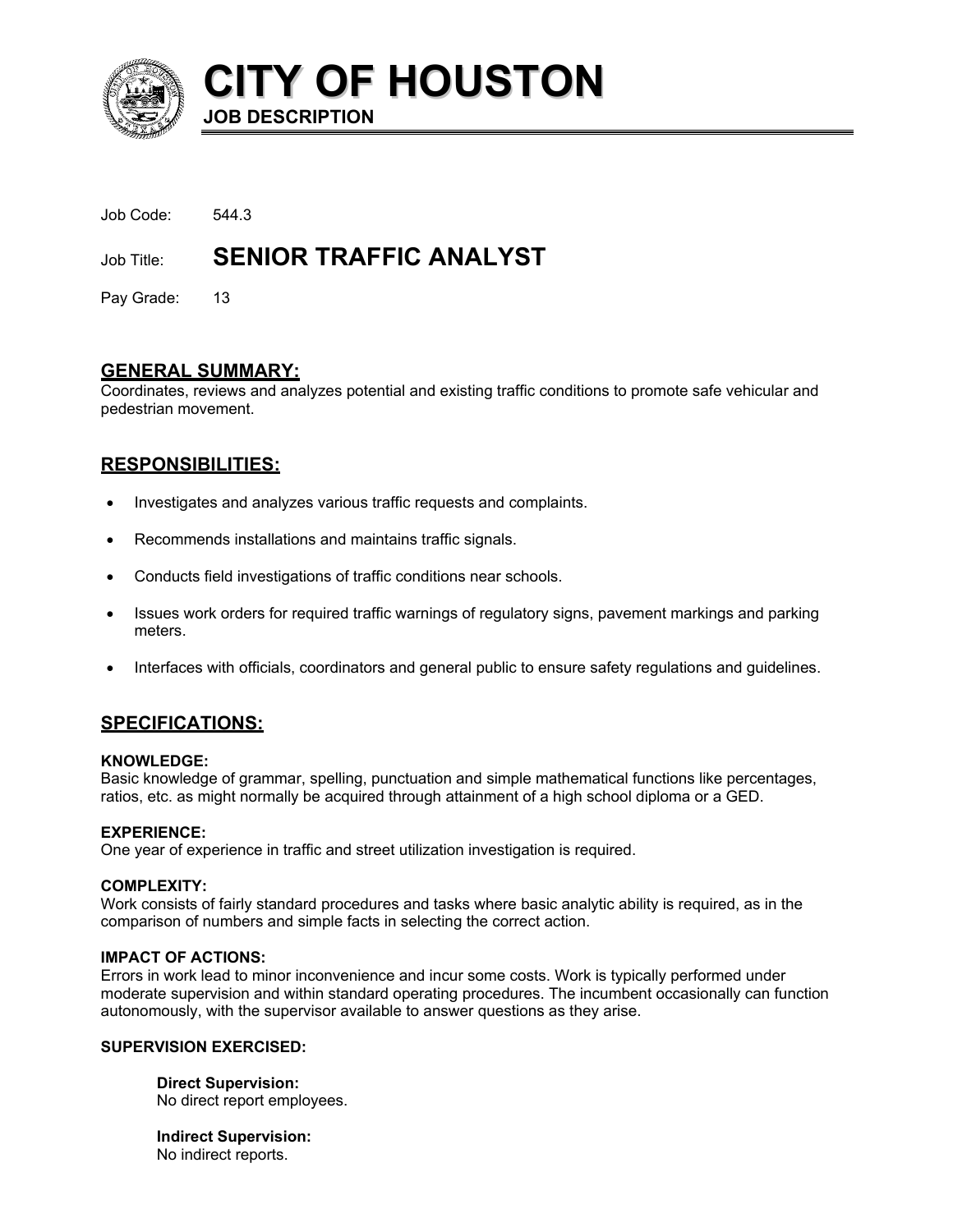

**CITY OF HOUSTON JOB DESCRIPTION** 

| Job Code: | 544.3 |
|-----------|-------|
|           |       |

# Job Title: **SENIOR TRAFFIC ANALYST**

Pay Grade: 13

## **GENERAL SUMMARY:**

Coordinates, reviews and analyzes potential and existing traffic conditions to promote safe vehicular and pedestrian movement.

## **RESPONSIBILITIES:**

- Investigates and analyzes various traffic requests and complaints.
- Recommends installations and maintains traffic signals.
- Conducts field investigations of traffic conditions near schools.
- Issues work orders for required traffic warnings of regulatory signs, pavement markings and parking meters.
- Interfaces with officials, coordinators and general public to ensure safety regulations and guidelines.

# **SPECIFICATIONS:**

### **KNOWLEDGE:**

Basic knowledge of grammar, spelling, punctuation and simple mathematical functions like percentages, ratios, etc. as might normally be acquired through attainment of a high school diploma or a GED.

### **EXPERIENCE:**

One year of experience in traffic and street utilization investigation is required.

### **COMPLEXITY:**

Work consists of fairly standard procedures and tasks where basic analytic ability is required, as in the comparison of numbers and simple facts in selecting the correct action.

### **IMPACT OF ACTIONS:**

Errors in work lead to minor inconvenience and incur some costs. Work is typically performed under moderate supervision and within standard operating procedures. The incumbent occasionally can function autonomously, with the supervisor available to answer questions as they arise.

### **SUPERVISION EXERCISED:**

**Direct Supervision:** No direct report employees.

**Indirect Supervision:** No indirect reports.